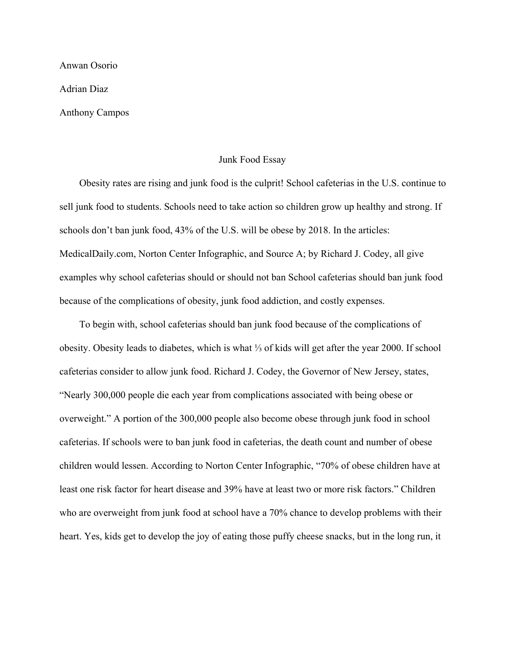Anwan Osorio

Adrian Diaz

Anthony Campos

## Junk Food Essay

 Obesity rates are rising and junk food is the culprit! School cafeterias in the U.S. continue to sell junk food to students. Schools need to take action so children grow up healthy and strong. If schools don't ban junk food, 43% of the U.S. will be obese by 2018. In the articles: MedicalDaily.com, Norton Center Infographic, and Source A; by Richard J. Codey, all give examples why school cafeterias should or should not ban School cafeterias should ban junk food because of the complications of obesity, junk food addiction, and costly expenses.

 To begin with, school cafeterias should ban junk food because of the complications of obesity. Obesity leads to diabetes, which is what ⅓ of kids will get after the year 2000. If school cafeterias consider to allow junk food. Richard J. Codey, the Governor of New Jersey, states, "Nearly 300,000 people die each year from complications associated with being obese or overweight." A portion of the 300,000 people also become obese through junk food in school cafeterias. If schools were to ban junk food in cafeterias, the death count and number of obese children would lessen. According to Norton Center Infographic, "70% of obese children have at least one risk factor for heart disease and 39% have at least two or more risk factors." Children who are overweight from junk food at school have a 70% chance to develop problems with their heart. Yes, kids get to develop the joy of eating those puffy cheese snacks, but in the long run, it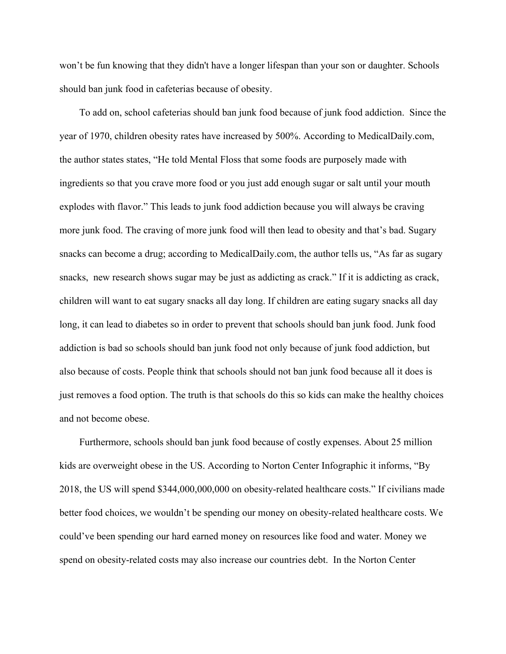won't be fun knowing that they didn't have a longer lifespan than your son or daughter. Schools should ban junk food in cafeterias because of obesity.

 To add on, school cafeterias should ban junk food because of junk food addiction. Since the year of 1970, children obesity rates have increased by 500%. According to MedicalDaily.com, the author states states, "He told Mental Floss that some foods are purposely made with ingredients so that you crave more food or you just add enough sugar or salt until your mouth explodes with flavor." This leads to junk food addiction because you will always be craving more junk food. The craving of more junk food will then lead to obesity and that's bad. Sugary snacks can become a drug; according to MedicalDaily.com, the author tells us, "As far as sugary snacks, new research shows sugar may be just as addicting as crack." If it is addicting as crack, children will want to eat sugary snacks all day long. If children are eating sugary snacks all day long, it can lead to diabetes so in order to prevent that schools should ban junk food. Junk food addiction is bad so schools should ban junk food not only because of junk food addiction, but also because of costs. People think that schools should not ban junk food because all it does is just removes a food option. The truth is that schools do this so kids can make the healthy choices and not become obese.

 Furthermore, schools should ban junk food because of costly expenses. About 25 million kids are overweight obese in the US. According to Norton Center Infographic it informs, "By 2018, the US will spend \$344,000,000,000 on obesity-related healthcare costs." If civilians made better food choices, we wouldn't be spending our money on obesity-related healthcare costs. We could've been spending our hard earned money on resources like food and water. Money we spend on obesity-related costs may also increase our countries debt. In the Norton Center